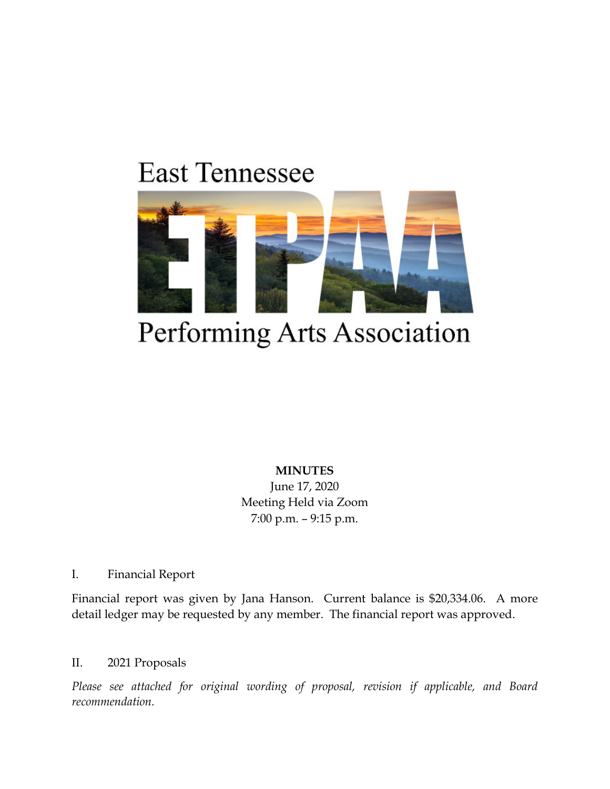## **East Tennessee**



## Performing Arts Association

**MINUTES** June 17, 2020 Meeting Held via Zoom 7:00 p.m. – 9:15 p.m.

I. Financial Report

Financial report was given by Jana Hanson. Current balance is \$20,334.06. A more detail ledger may be requested by any member. The financial report was approved.

### II. 2021 Proposals

*Please see attached for original wording of proposal, revision if applicable, and Board recommendation.*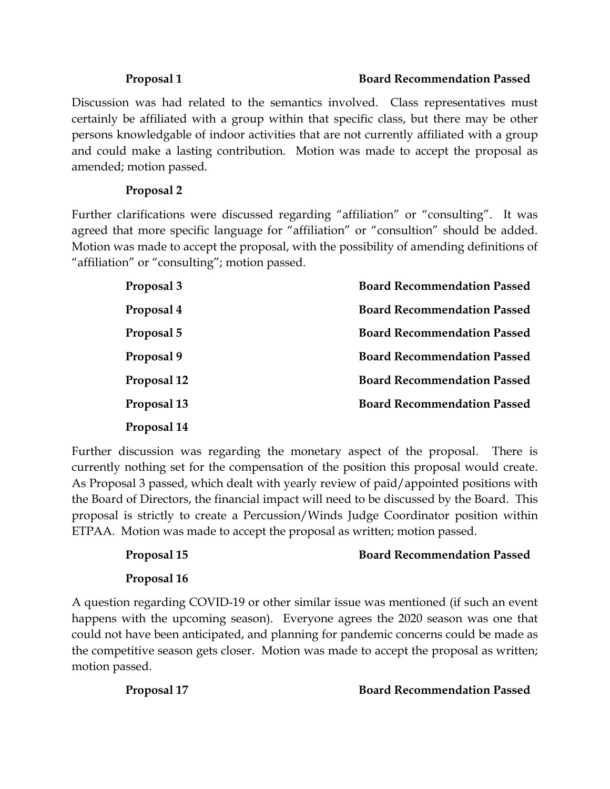#### **Proposal 1 Board Recommendation Passed**

Discussion was had related to the semantics involved. Class representatives must certainly be affiliated with a group within that specific class, but there may be other persons knowledgable of indoor activities that are not currently affiliated with a group and could make a lasting contribution. Motion was made to accept the proposal as amended; motion passed.

### **Proposal 2**

Further clarifications were discussed regarding "affiliation" or "consulting". It was agreed that more specific language for "affiliation" or "consultion" should be added. Motion was made to accept the proposal, with the possibility of amending definitions of "affiliation" or "consulting"; motion passed.

| Proposal 3  | <b>Board Recommendation Passed</b> |
|-------------|------------------------------------|
| Proposal 4  | <b>Board Recommendation Passed</b> |
| Proposal 5  | <b>Board Recommendation Passed</b> |
| Proposal 9  | <b>Board Recommendation Passed</b> |
| Proposal 12 | <b>Board Recommendation Passed</b> |
| Proposal 13 | <b>Board Recommendation Passed</b> |
| Proposal 14 |                                    |

Further discussion was regarding the monetary aspect of the proposal. There is currently nothing set for the compensation of the position this proposal would create. As Proposal 3 passed, which dealt with yearly review of paid/appointed positions with the Board of Directors, the financial impact will need to be discussed by the Board. This proposal is strictly to create a Percussion/Winds Judge Coordinator position within ETPAA. Motion was made to accept the proposal as written; motion passed.

### **Proposal 15 Board Recommendation Passed**

### **Proposal 16**

A question regarding COVID-19 or other similar issue was mentioned (if such an event happens with the upcoming season). Everyone agrees the 2020 season was one that could not have been anticipated, and planning for pandemic concerns could be made as the competitive season gets closer. Motion was made to accept the proposal as written; motion passed.

**Proposal 17 Board Recommendation Passed**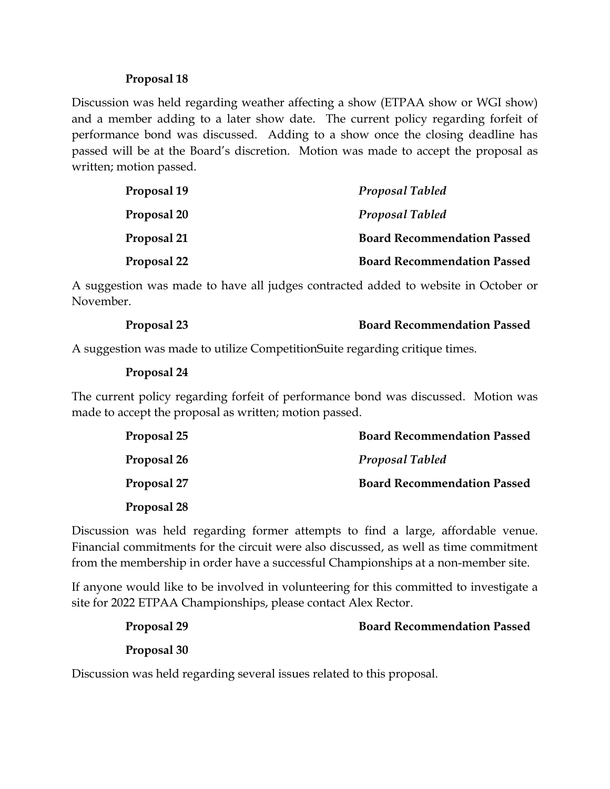#### **Proposal 18**

Discussion was held regarding weather affecting a show (ETPAA show or WGI show) and a member adding to a later show date. The current policy regarding forfeit of performance bond was discussed. Adding to a show once the closing deadline has passed will be at the Board's discretion. Motion was made to accept the proposal as written; motion passed.

| Proposal 19 | <b>Proposal Tabled</b>             |
|-------------|------------------------------------|
| Proposal 20 | <b>Proposal Tabled</b>             |
| Proposal 21 | <b>Board Recommendation Passed</b> |
| Proposal 22 | <b>Board Recommendation Passed</b> |

A suggestion was made to have all judges contracted added to website in October or November.

| Proposal 23 | <b>Board Recommendation Passed</b> |
|-------------|------------------------------------|
|-------------|------------------------------------|

A suggestion was made to utilize CompetitionSuite regarding critique times.

#### **Proposal 24**

The current policy regarding forfeit of performance bond was discussed. Motion was made to accept the proposal as written; motion passed.

| Proposal 25 | <b>Board Recommendation Passed</b> |
|-------------|------------------------------------|
| Proposal 26 | <b>Proposal Tabled</b>             |
| Proposal 27 | <b>Board Recommendation Passed</b> |
| Proposal 28 |                                    |

Discussion was held regarding former attempts to find a large, affordable venue. Financial commitments for the circuit were also discussed, as well as time commitment from the membership in order have a successful Championships at a non-member site.

If anyone would like to be involved in volunteering for this committed to investigate a site for 2022 ETPAA Championships, please contact Alex Rector.

| Proposal 29 | <b>Board Recommendation Passed</b> |
|-------------|------------------------------------|
| Proposal 30 |                                    |

Discussion was held regarding several issues related to this proposal.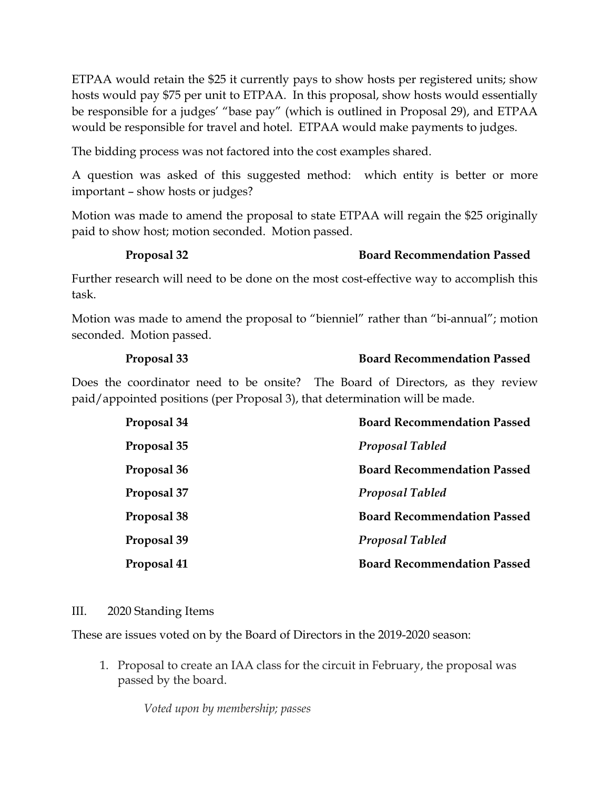ETPAA would retain the \$25 it currently pays to show hosts per registered units; show hosts would pay \$75 per unit to ETPAA. In this proposal, show hosts would essentially be responsible for a judges' "base pay" (which is outlined in Proposal 29), and ETPAA would be responsible for travel and hotel. ETPAA would make payments to judges.

The bidding process was not factored into the cost examples shared.

A question was asked of this suggested method: which entity is better or more important – show hosts or judges?

Motion was made to amend the proposal to state ETPAA will regain the \$25 originally paid to show host; motion seconded. Motion passed.

#### **Proposal 32 Board Recommendation Passed**

Further research will need to be done on the most cost-effective way to accomplish this task.

Motion was made to amend the proposal to "bienniel" rather than "bi-annual"; motion seconded. Motion passed.

#### **Proposal 33 Board Recommendation Passed**

Does the coordinator need to be onsite? The Board of Directors, as they review paid/appointed positions (per Proposal 3), that determination will be made.

| Proposal 34 | <b>Board Recommendation Passed</b> |
|-------------|------------------------------------|
| Proposal 35 | <b>Proposal Tabled</b>             |
| Proposal 36 | <b>Board Recommendation Passed</b> |
| Proposal 37 | <b>Proposal Tabled</b>             |
| Proposal 38 | <b>Board Recommendation Passed</b> |
| Proposal 39 | Proposal Tabled                    |
| Proposal 41 | <b>Board Recommendation Passed</b> |

#### III. 2020 Standing Items

These are issues voted on by the Board of Directors in the 2019-2020 season:

1. Proposal to create an IAA class for the circuit in February, the proposal was passed by the board.

*Voted upon by membership; passes*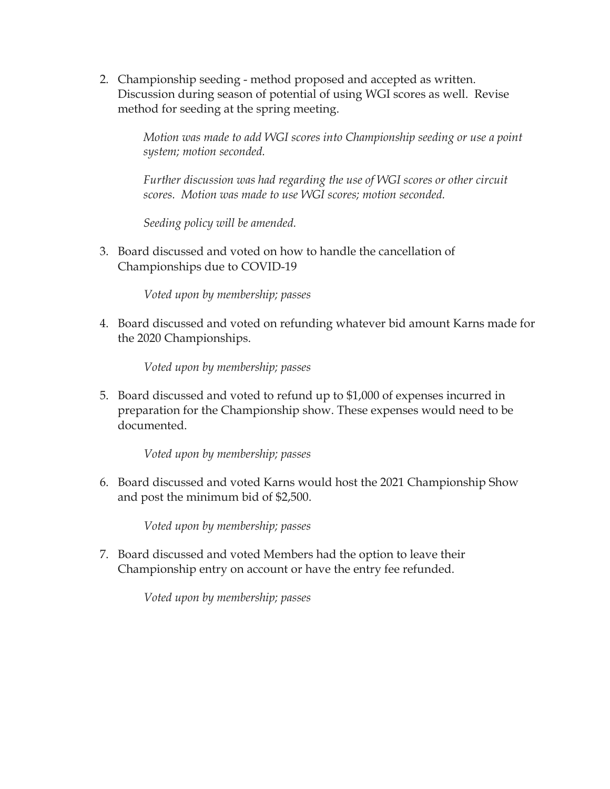2. Championship seeding - method proposed and accepted as written. Discussion during season of potential of using WGI scores as well. Revise method for seeding at the spring meeting.

> *Motion was made to add WGI scores into Championship seeding or use a point system; motion seconded.*

*Further discussion was had regarding the use of WGI scores or other circuit scores. Motion was made to use WGI scores; motion seconded.* 

*Seeding policy will be amended.* 

3. Board discussed and voted on how to handle the cancellation of Championships due to COVID-19

*Voted upon by membership; passes*

4. Board discussed and voted on refunding whatever bid amount Karns made for the 2020 Championships.

*Voted upon by membership; passes*

5. Board discussed and voted to refund up to \$1,000 of expenses incurred in preparation for the Championship show. These expenses would need to be documented.

*Voted upon by membership; passes*

6. Board discussed and voted Karns would host the 2021 Championship Show and post the minimum bid of \$2,500.

*Voted upon by membership; passes*

7. Board discussed and voted Members had the option to leave their Championship entry on account or have the entry fee refunded.

*Voted upon by membership; passes*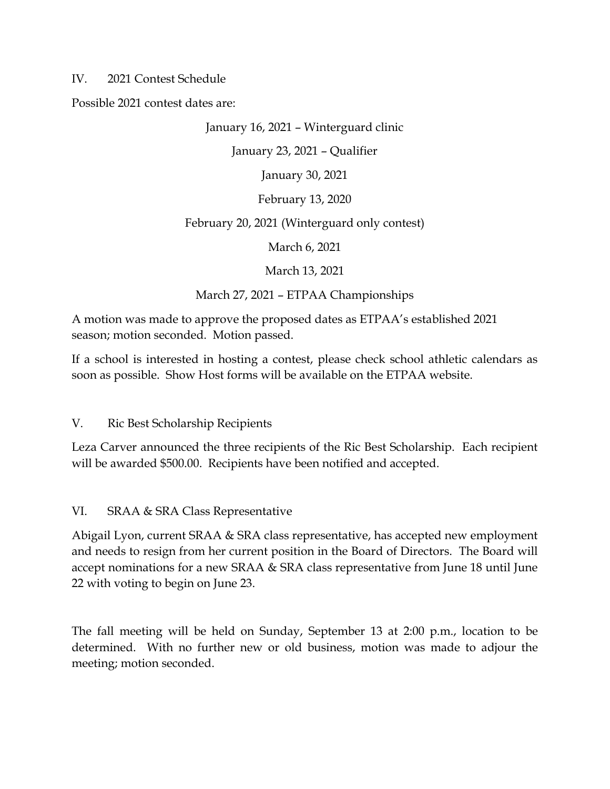#### IV. 2021 Contest Schedule

Possible 2021 contest dates are:

#### January 16, 2021 – Winterguard clinic

January 23, 2021 – Qualifier

January 30, 2021

February 13, 2020

#### February 20, 2021 (Winterguard only contest)

March 6, 2021

March 13, 2021

March 27, 2021 – ETPAA Championships

A motion was made to approve the proposed dates as ETPAA's established 2021 season; motion seconded. Motion passed.

If a school is interested in hosting a contest, please check school athletic calendars as soon as possible. Show Host forms will be available on the ETPAA website.

V. Ric Best Scholarship Recipients

Leza Carver announced the three recipients of the Ric Best Scholarship. Each recipient will be awarded \$500.00. Recipients have been notified and accepted.

### VI. SRAA & SRA Class Representative

Abigail Lyon, current SRAA & SRA class representative, has accepted new employment and needs to resign from her current position in the Board of Directors. The Board will accept nominations for a new SRAA & SRA class representative from June 18 until June 22 with voting to begin on June 23.

The fall meeting will be held on Sunday, September 13 at 2:00 p.m., location to be determined. With no further new or old business, motion was made to adjour the meeting; motion seconded.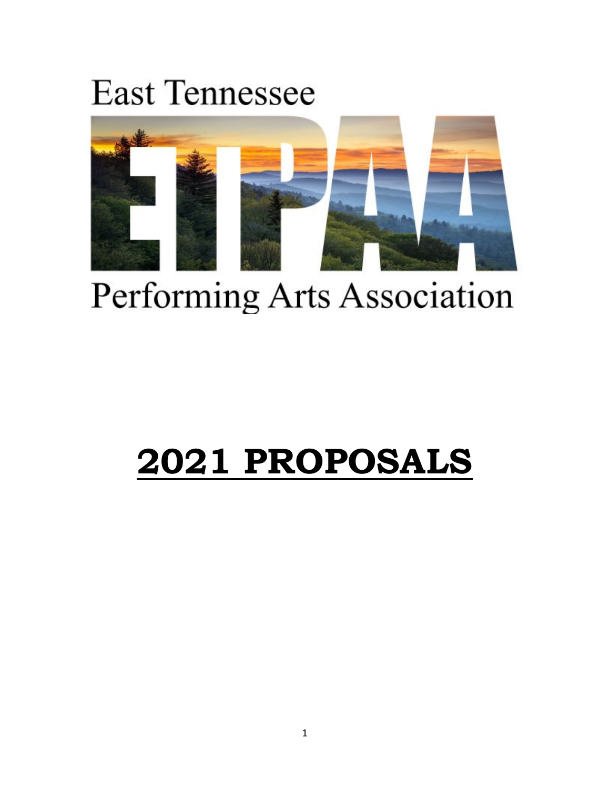# **East Tennessee**



# Performing Arts Association

# **2021 PROPOSALS**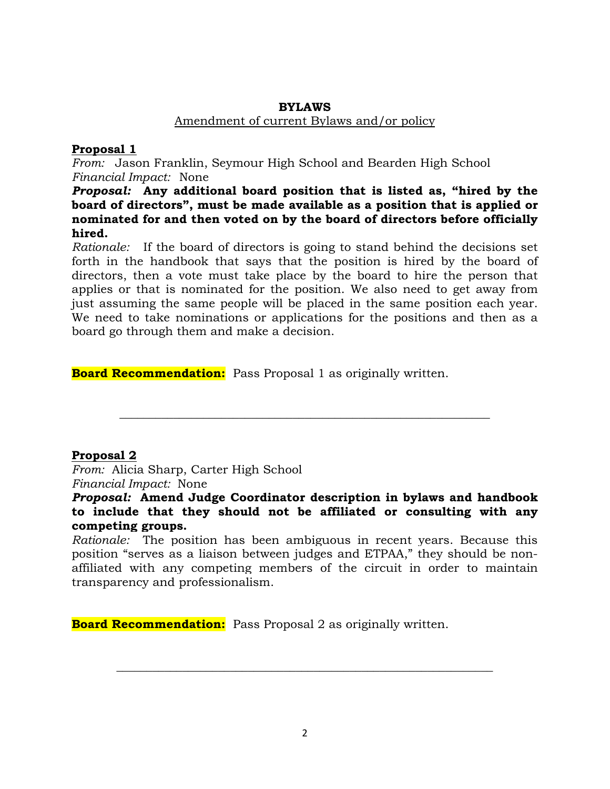#### **BYLAWS**

#### Amendment of current Bylaws and/or policy

#### **Proposal 1**

*From:* Jason Franklin, Seymour High School and Bearden High School *Financial Impact:* None

*Proposal:* **Any additional board position that is listed as, "hired by the board of directors", must be made available as a position that is applied or nominated for and then voted on by the board of directors before officially hired.**

*Rationale:* If the board of directors is going to stand behind the decisions set forth in the handbook that says that the position is hired by the board of directors, then a vote must take place by the board to hire the person that applies or that is nominated for the position. We also need to get away from just assuming the same people will be placed in the same position each year. We need to take nominations or applications for the positions and then as a board go through them and make a decision.

**Board Recommendation:** Pass Proposal 1 as originally written.

#### **Proposal 2**

*From:* Alicia Sharp, Carter High School *Financial Impact:* None

*Proposal:* **Amend Judge Coordinator description in bylaws and handbook to include that they should not be affiliated or consulting with any competing groups.**

**\_\_\_\_\_\_\_\_\_\_\_\_\_\_\_\_\_\_\_\_\_\_\_\_\_\_\_\_\_\_\_\_\_\_\_\_\_\_\_\_\_\_\_\_\_\_\_\_\_\_\_\_\_\_\_\_\_\_\_\_\_\_**

*Rationale:* The position has been ambiguous in recent years. Because this position "serves as a liaison between judges and ETPAA," they should be nonaffiliated with any competing members of the circuit in order to maintain transparency and professionalism.

**Board Recommendation:** Pass Proposal 2 as originally written.

**\_\_\_\_\_\_\_\_\_\_\_\_\_\_\_\_\_\_\_\_\_\_\_\_\_\_\_\_\_\_\_\_\_\_\_\_\_\_\_\_\_\_\_\_\_\_\_\_\_\_\_\_\_\_\_\_\_\_\_\_\_\_\_**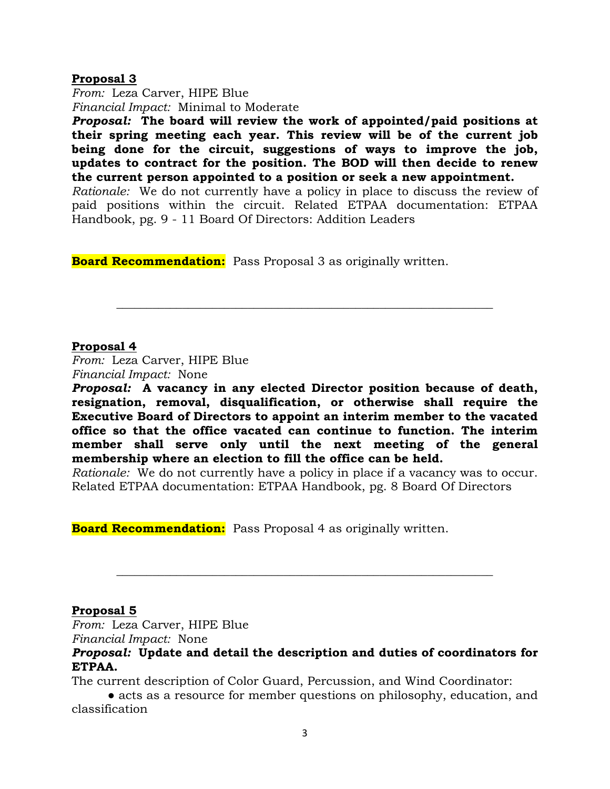#### **Proposal 3**

*From:* Leza Carver, HIPE Blue *Financial Impact:* Minimal to Moderate

*Proposal:* **The board will review the work of appointed/paid positions at their spring meeting each year. This review will be of the current job being done for the circuit, suggestions of ways to improve the job, updates to contract for the position. The BOD will then decide to renew the current person appointed to a position or seek a new appointment.**

*Rationale:* We do not currently have a policy in place to discuss the review of paid positions within the circuit. Related ETPAA documentation: ETPAA Handbook, pg. 9 - 11 Board Of Directors: Addition Leaders

**\_\_\_\_\_\_\_\_\_\_\_\_\_\_\_\_\_\_\_\_\_\_\_\_\_\_\_\_\_\_\_\_\_\_\_\_\_\_\_\_\_\_\_\_\_\_\_\_\_\_\_\_\_\_\_\_\_\_\_\_\_\_\_**

**Board Recommendation:** Pass Proposal 3 as originally written.

#### **Proposal 4**

*From:* Leza Carver, HIPE Blue *Financial Impact:* None

*Proposal:* **A vacancy in any elected Director position because of death, resignation, removal, disqualification, or otherwise shall require the Executive Board of Directors to appoint an interim member to the vacated office so that the office vacated can continue to function. The interim member shall serve only until the next meeting of the general membership where an election to fill the office can be held.**

*Rationale:* We do not currently have a policy in place if a vacancy was to occur. Related ETPAA documentation: ETPAA Handbook, pg. 8 Board Of Directors

**Board Recommendation:** Pass Proposal 4 as originally written.

#### **Proposal 5**

*From:* Leza Carver, HIPE Blue *Financial Impact:* None

*Proposal:* **Update and detail the description and duties of coordinators for ETPAA.** 

**\_\_\_\_\_\_\_\_\_\_\_\_\_\_\_\_\_\_\_\_\_\_\_\_\_\_\_\_\_\_\_\_\_\_\_\_\_\_\_\_\_\_\_\_\_\_\_\_\_\_\_\_\_\_\_\_\_\_\_\_\_\_\_**

The current description of Color Guard, Percussion, and Wind Coordinator:

● acts as a resource for member questions on philosophy, education, and classification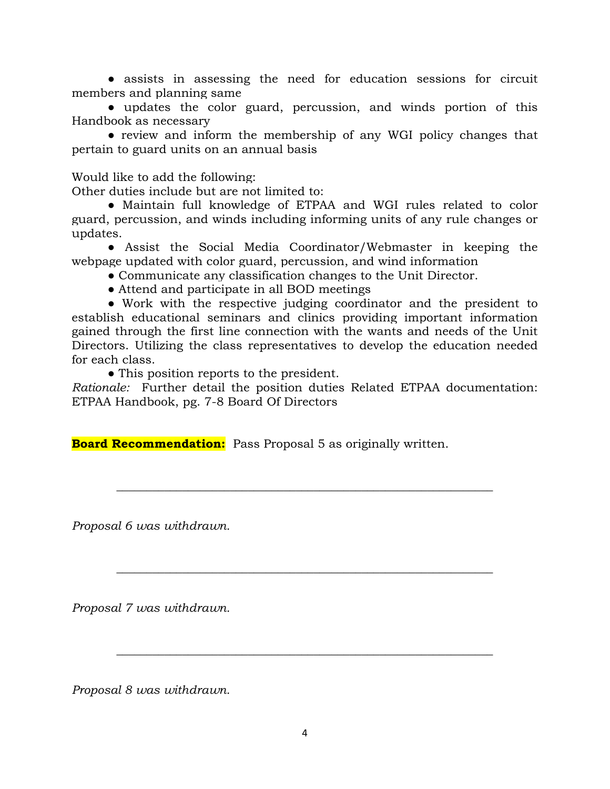● assists in assessing the need for education sessions for circuit members and planning same

● updates the color guard, percussion, and winds portion of this Handbook as necessary

● review and inform the membership of any WGI policy changes that pertain to guard units on an annual basis

Would like to add the following:

Other duties include but are not limited to:

● Maintain full knowledge of ETPAA and WGI rules related to color guard, percussion, and winds including informing units of any rule changes or updates.

● Assist the Social Media Coordinator/Webmaster in keeping the webpage updated with color guard, percussion, and wind information

● Communicate any classification changes to the Unit Director.

• Attend and participate in all BOD meetings

● Work with the respective judging coordinator and the president to establish educational seminars and clinics providing important information gained through the first line connection with the wants and needs of the Unit Directors. Utilizing the class representatives to develop the education needed for each class.

• This position reports to the president.

*Rationale:* Further detail the position duties Related ETPAA documentation: ETPAA Handbook, pg. 7-8 Board Of Directors

**\_\_\_\_\_\_\_\_\_\_\_\_\_\_\_\_\_\_\_\_\_\_\_\_\_\_\_\_\_\_\_\_\_\_\_\_\_\_\_\_\_\_\_\_\_\_\_\_\_\_\_\_\_\_\_\_\_\_\_\_\_\_\_**

**\_\_\_\_\_\_\_\_\_\_\_\_\_\_\_\_\_\_\_\_\_\_\_\_\_\_\_\_\_\_\_\_\_\_\_\_\_\_\_\_\_\_\_\_\_\_\_\_\_\_\_\_\_\_\_\_\_\_\_\_\_\_\_**

**\_\_\_\_\_\_\_\_\_\_\_\_\_\_\_\_\_\_\_\_\_\_\_\_\_\_\_\_\_\_\_\_\_\_\_\_\_\_\_\_\_\_\_\_\_\_\_\_\_\_\_\_\_\_\_\_\_\_\_\_\_\_\_**

**Board Recommendation:** Pass Proposal 5 as originally written.

*Proposal 6 was withdrawn.* 

*Proposal 7 was withdrawn.* 

*Proposal 8 was withdrawn.*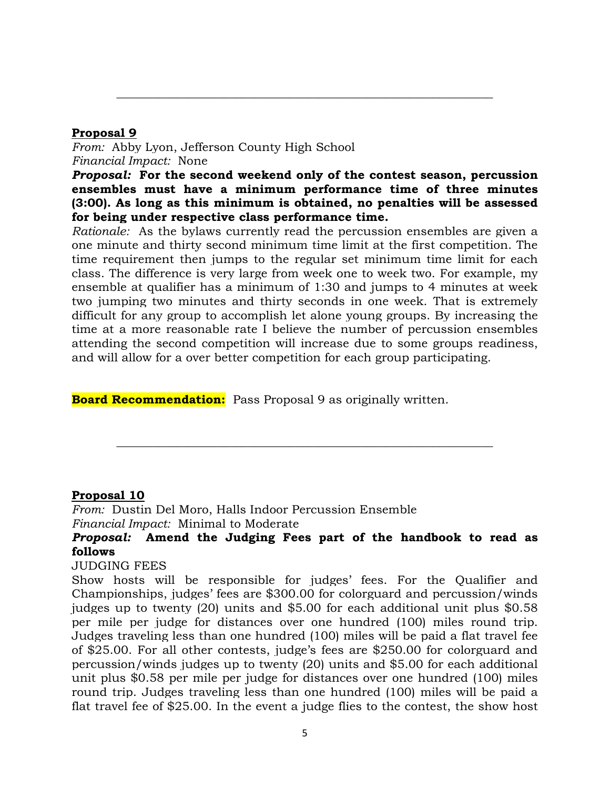#### **Proposal 9**

*From:* Abby Lyon, Jefferson County High School *Financial Impact:* None

*Proposal:* **For the second weekend only of the contest season, percussion ensembles must have a minimum performance time of three minutes (3:00). As long as this minimum is obtained, no penalties will be assessed for being under respective class performance time.**

**\_\_\_\_\_\_\_\_\_\_\_\_\_\_\_\_\_\_\_\_\_\_\_\_\_\_\_\_\_\_\_\_\_\_\_\_\_\_\_\_\_\_\_\_\_\_\_\_\_\_\_\_\_\_\_\_\_\_\_\_\_\_\_**

*Rationale:* As the bylaws currently read the percussion ensembles are given a one minute and thirty second minimum time limit at the first competition. The time requirement then jumps to the regular set minimum time limit for each class. The difference is very large from week one to week two. For example, my ensemble at qualifier has a minimum of 1:30 and jumps to 4 minutes at week two jumping two minutes and thirty seconds in one week. That is extremely difficult for any group to accomplish let alone young groups. By increasing the time at a more reasonable rate I believe the number of percussion ensembles attending the second competition will increase due to some groups readiness, and will allow for a over better competition for each group participating.

**Board Recommendation:** Pass Proposal 9 as originally written.

#### **Proposal 10**

*From:* Dustin Del Moro, Halls Indoor Percussion Ensemble *Financial Impact:* Minimal to Moderate

### *Proposal:* **Amend the Judging Fees part of the handbook to read as follows**

**\_\_\_\_\_\_\_\_\_\_\_\_\_\_\_\_\_\_\_\_\_\_\_\_\_\_\_\_\_\_\_\_\_\_\_\_\_\_\_\_\_\_\_\_\_\_\_\_\_\_\_\_\_\_\_\_\_\_\_\_\_\_\_**

#### JUDGING FEES

Show hosts will be responsible for judges' fees. For the Qualifier and Championships, judges' fees are \$300.00 for colorguard and percussion/winds judges up to twenty (20) units and \$5.00 for each additional unit plus \$0.58 per mile per judge for distances over one hundred (100) miles round trip. Judges traveling less than one hundred (100) miles will be paid a flat travel fee of \$25.00. For all other contests, judge's fees are \$250.00 for colorguard and percussion/winds judges up to twenty (20) units and \$5.00 for each additional unit plus \$0.58 per mile per judge for distances over one hundred (100) miles round trip. Judges traveling less than one hundred (100) miles will be paid a flat travel fee of \$25.00. In the event a judge flies to the contest, the show host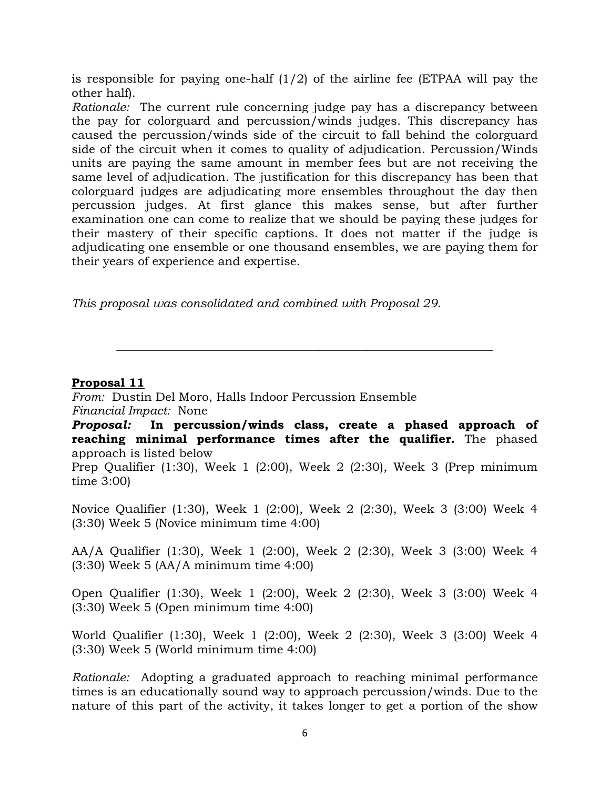is responsible for paying one-half  $(1/2)$  of the airline fee (ETPAA will pay the other half).

*Rationale:* The current rule concerning judge pay has a discrepancy between the pay for colorguard and percussion/winds judges. This discrepancy has caused the percussion/winds side of the circuit to fall behind the colorguard side of the circuit when it comes to quality of adjudication. Percussion/Winds units are paying the same amount in member fees but are not receiving the same level of adjudication. The justification for this discrepancy has been that colorguard judges are adjudicating more ensembles throughout the day then percussion judges. At first glance this makes sense, but after further examination one can come to realize that we should be paying these judges for their mastery of their specific captions. It does not matter if the judge is adjudicating one ensemble or one thousand ensembles, we are paying them for their years of experience and expertise.

*This proposal was consolidated and combined with Proposal 29.* 

#### **Proposal 11**

*From:* Dustin Del Moro, Halls Indoor Percussion Ensemble *Financial Impact:* None

*Proposal:* **In percussion/winds class, create a phased approach of reaching minimal performance times after the qualifier.** The phased approach is listed below

**\_\_\_\_\_\_\_\_\_\_\_\_\_\_\_\_\_\_\_\_\_\_\_\_\_\_\_\_\_\_\_\_\_\_\_\_\_\_\_\_\_\_\_\_\_\_\_\_\_\_\_\_\_\_\_\_\_\_\_\_\_\_\_**

Prep Qualifier (1:30), Week 1 (2:00), Week 2 (2:30), Week 3 (Prep minimum time 3:00)

Novice Qualifier (1:30), Week 1 (2:00), Week 2 (2:30), Week 3 (3:00) Week 4 (3:30) Week 5 (Novice minimum time 4:00)

AA/A Qualifier (1:30), Week 1 (2:00), Week 2 (2:30), Week 3 (3:00) Week 4 (3:30) Week 5 (AA/A minimum time 4:00)

Open Qualifier (1:30), Week 1 (2:00), Week 2 (2:30), Week 3 (3:00) Week 4 (3:30) Week 5 (Open minimum time 4:00)

World Qualifier (1:30), Week 1 (2:00), Week 2 (2:30), Week 3 (3:00) Week 4 (3:30) Week 5 (World minimum time 4:00)

*Rationale:* Adopting a graduated approach to reaching minimal performance times is an educationally sound way to approach percussion/winds. Due to the nature of this part of the activity, it takes longer to get a portion of the show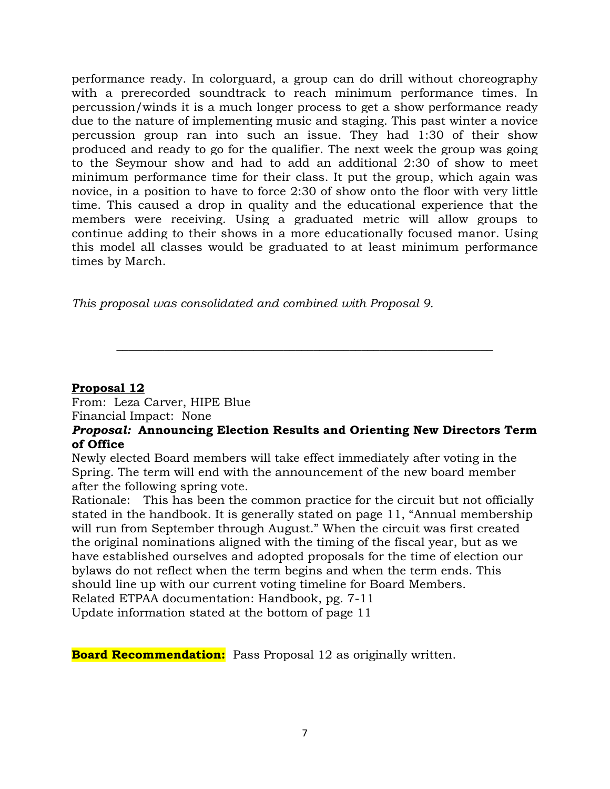performance ready. In colorguard, a group can do drill without choreography with a prerecorded soundtrack to reach minimum performance times. In percussion/winds it is a much longer process to get a show performance ready due to the nature of implementing music and staging. This past winter a novice percussion group ran into such an issue. They had 1:30 of their show produced and ready to go for the qualifier. The next week the group was going to the Seymour show and had to add an additional 2:30 of show to meet minimum performance time for their class. It put the group, which again was novice, in a position to have to force 2:30 of show onto the floor with very little time. This caused a drop in quality and the educational experience that the members were receiving. Using a graduated metric will allow groups to continue adding to their shows in a more educationally focused manor. Using this model all classes would be graduated to at least minimum performance times by March.

*This proposal was consolidated and combined with Proposal 9.* 

#### **Proposal 12**

From: Leza Carver, HIPE Blue Financial Impact: None

#### *Proposal:* **Announcing Election Results and Orienting New Directors Term of Office**

**\_\_\_\_\_\_\_\_\_\_\_\_\_\_\_\_\_\_\_\_\_\_\_\_\_\_\_\_\_\_\_\_\_\_\_\_\_\_\_\_\_\_\_\_\_\_\_\_\_\_\_\_\_\_\_\_\_\_\_\_\_\_\_**

Newly elected Board members will take effect immediately after voting in the Spring. The term will end with the announcement of the new board member after the following spring vote.

Rationale: This has been the common practice for the circuit but not officially stated in the handbook. It is generally stated on page 11, "Annual membership will run from September through August." When the circuit was first created the original nominations aligned with the timing of the fiscal year, but as we have established ourselves and adopted proposals for the time of election our bylaws do not reflect when the term begins and when the term ends. This should line up with our current voting timeline for Board Members.

Related ETPAA documentation: Handbook, pg. 7-11

Update information stated at the bottom of page 11

**Board Recommendation:** Pass Proposal 12 as originally written.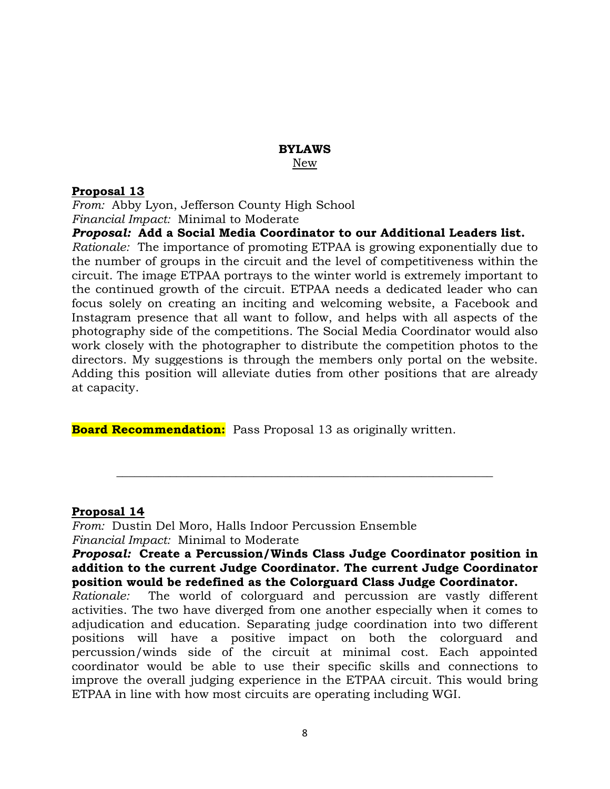## **BYLAWS**

New

#### **Proposal 13**

*From:* Abby Lyon, Jefferson County High School *Financial Impact:* Minimal to Moderate

*Proposal:* **Add a Social Media Coordinator to our Additional Leaders list.**

*Rationale:* The importance of promoting ETPAA is growing exponentially due to the number of groups in the circuit and the level of competitiveness within the circuit. The image ETPAA portrays to the winter world is extremely important to the continued growth of the circuit. ETPAA needs a dedicated leader who can focus solely on creating an inciting and welcoming website, a Facebook and Instagram presence that all want to follow, and helps with all aspects of the photography side of the competitions. The Social Media Coordinator would also work closely with the photographer to distribute the competition photos to the directors. My suggestions is through the members only portal on the website. Adding this position will alleviate duties from other positions that are already at capacity.

**Board Recommendation:** Pass Proposal 13 as originally written.

#### **Proposal 14**

*From:* Dustin Del Moro, Halls Indoor Percussion Ensemble *Financial Impact:* Minimal to Moderate

#### *Proposal:* **Create a Percussion/Winds Class Judge Coordinator position in addition to the current Judge Coordinator. The current Judge Coordinator position would be redefined as the Colorguard Class Judge Coordinator.**

**\_\_\_\_\_\_\_\_\_\_\_\_\_\_\_\_\_\_\_\_\_\_\_\_\_\_\_\_\_\_\_\_\_\_\_\_\_\_\_\_\_\_\_\_\_\_\_\_\_\_\_\_\_\_\_\_\_\_\_\_\_\_\_**

*Rationale:* The world of colorguard and percussion are vastly different activities. The two have diverged from one another especially when it comes to adjudication and education. Separating judge coordination into two different positions will have a positive impact on both the colorguard and percussion/winds side of the circuit at minimal cost. Each appointed coordinator would be able to use their specific skills and connections to improve the overall judging experience in the ETPAA circuit. This would bring ETPAA in line with how most circuits are operating including WGI.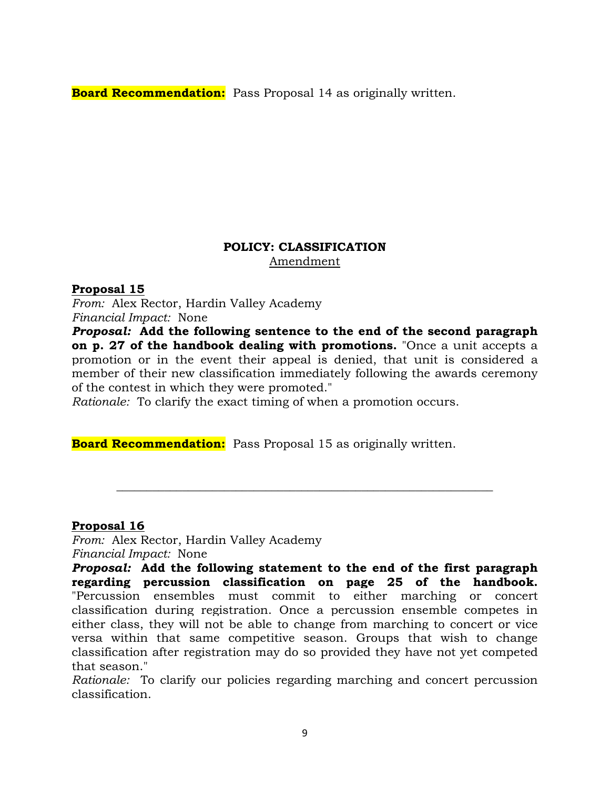**Board Recommendation:** Pass Proposal 14 as originally written.

### **POLICY: CLASSIFICATION** Amendment

#### **Proposal 15**

*From:* Alex Rector, Hardin Valley Academy *Financial Impact:* None

*Proposal:* **Add the following sentence to the end of the second paragraph on p. 27 of the handbook dealing with promotions.** "Once a unit accepts a promotion or in the event their appeal is denied, that unit is considered a member of their new classification immediately following the awards ceremony of the contest in which they were promoted."

**\_\_\_\_\_\_\_\_\_\_\_\_\_\_\_\_\_\_\_\_\_\_\_\_\_\_\_\_\_\_\_\_\_\_\_\_\_\_\_\_\_\_\_\_\_\_\_\_\_\_\_\_\_\_\_\_\_\_\_\_\_\_\_**

*Rationale:* To clarify the exact timing of when a promotion occurs.

**Board Recommendation:** Pass Proposal 15 as originally written.

#### **Proposal 16**

*From:* Alex Rector, Hardin Valley Academy *Financial Impact:* None

*Proposal:* **Add the following statement to the end of the first paragraph regarding percussion classification on page 25 of the handbook.** "Percussion ensembles must commit to either marching or concert classification during registration. Once a percussion ensemble competes in either class, they will not be able to change from marching to concert or vice versa within that same competitive season. Groups that wish to change classification after registration may do so provided they have not yet competed that season."

*Rationale:* To clarify our policies regarding marching and concert percussion classification.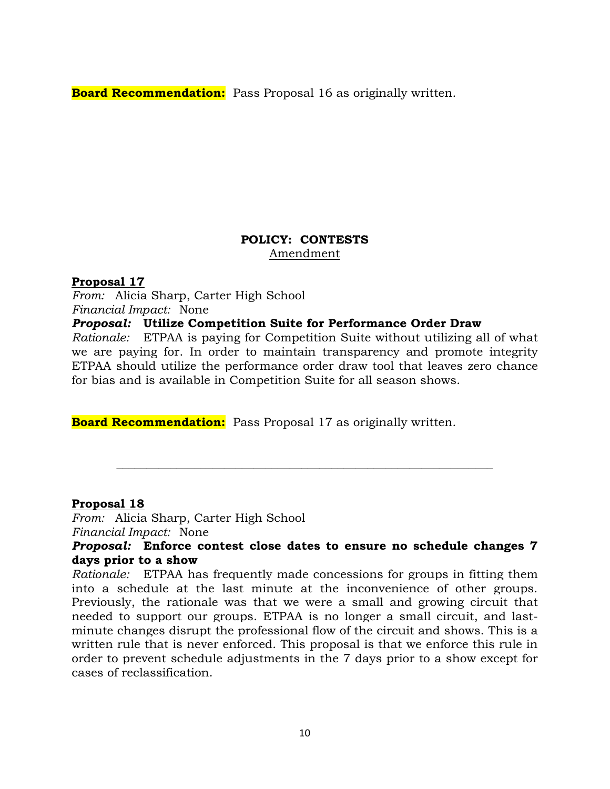**Board Recommendation:** Pass Proposal 16 as originally written.

#### **POLICY: CONTESTS** Amendment

#### **Proposal 17**

*From:* Alicia Sharp, Carter High School *Financial Impact:* None

#### *Proposal:* **Utilize Competition Suite for Performance Order Draw**

*Rationale:* ETPAA is paying for Competition Suite without utilizing all of what we are paying for. In order to maintain transparency and promote integrity ETPAA should utilize the performance order draw tool that leaves zero chance for bias and is available in Competition Suite for all season shows.

**Board Recommendation:** Pass Proposal 17 as originally written.

#### **Proposal 18**

*From:* Alicia Sharp, Carter High School *Financial Impact:* None

#### *Proposal:* **Enforce contest close dates to ensure no schedule changes 7 days prior to a show**

**\_\_\_\_\_\_\_\_\_\_\_\_\_\_\_\_\_\_\_\_\_\_\_\_\_\_\_\_\_\_\_\_\_\_\_\_\_\_\_\_\_\_\_\_\_\_\_\_\_\_\_\_\_\_\_\_\_\_\_\_\_\_\_**

*Rationale:* ETPAA has frequently made concessions for groups in fitting them into a schedule at the last minute at the inconvenience of other groups. Previously, the rationale was that we were a small and growing circuit that needed to support our groups. ETPAA is no longer a small circuit, and lastminute changes disrupt the professional flow of the circuit and shows. This is a written rule that is never enforced. This proposal is that we enforce this rule in order to prevent schedule adjustments in the 7 days prior to a show except for cases of reclassification.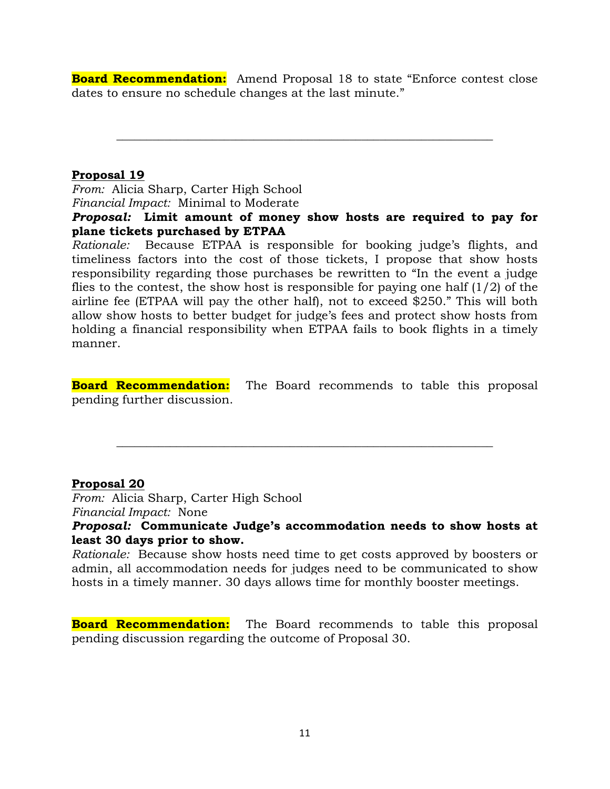**Board Recommendation:** Amend Proposal 18 to state "Enforce contest close dates to ensure no schedule changes at the last minute."

**\_\_\_\_\_\_\_\_\_\_\_\_\_\_\_\_\_\_\_\_\_\_\_\_\_\_\_\_\_\_\_\_\_\_\_\_\_\_\_\_\_\_\_\_\_\_\_\_\_\_\_\_\_\_\_\_\_\_\_\_\_\_\_**

#### **Proposal 19**

*From:* Alicia Sharp, Carter High School *Financial Impact:* Minimal to Moderate

#### *Proposal:* **Limit amount of money show hosts are required to pay for plane tickets purchased by ETPAA**

*Rationale:* Because ETPAA is responsible for booking judge's flights, and timeliness factors into the cost of those tickets, I propose that show hosts responsibility regarding those purchases be rewritten to "In the event a judge flies to the contest, the show host is responsible for paying one half  $(1/2)$  of the airline fee (ETPAA will pay the other half), not to exceed \$250." This will both allow show hosts to better budget for judge's fees and protect show hosts from holding a financial responsibility when ETPAA fails to book flights in a timely manner.

**Board Recommendation:** The Board recommends to table this proposal pending further discussion.

**\_\_\_\_\_\_\_\_\_\_\_\_\_\_\_\_\_\_\_\_\_\_\_\_\_\_\_\_\_\_\_\_\_\_\_\_\_\_\_\_\_\_\_\_\_\_\_\_\_\_\_\_\_\_\_\_\_\_\_\_\_\_\_**

#### **Proposal 20**

*From:* Alicia Sharp, Carter High School *Financial Impact:* None

#### *Proposal:* **Communicate Judge's accommodation needs to show hosts at least 30 days prior to show.**

*Rationale:* Because show hosts need time to get costs approved by boosters or admin, all accommodation needs for judges need to be communicated to show hosts in a timely manner. 30 days allows time for monthly booster meetings.

**Board Recommendation:** The Board recommends to table this proposal pending discussion regarding the outcome of Proposal 30.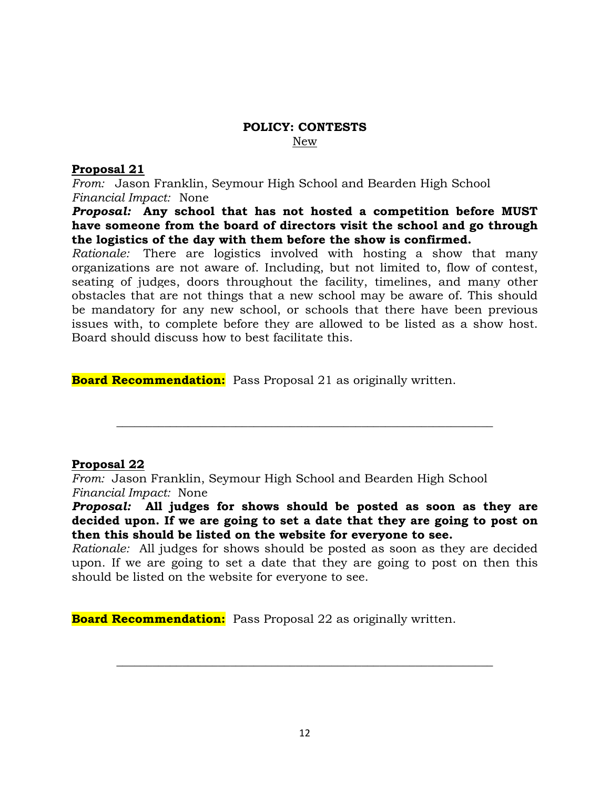#### **POLICY: CONTESTS** New

#### **Proposal 21**

*From:* Jason Franklin, Seymour High School and Bearden High School *Financial Impact:* None

*Proposal:* **Any school that has not hosted a competition before MUST have someone from the board of directors visit the school and go through the logistics of the day with them before the show is confirmed.**

*Rationale:* There are logistics involved with hosting a show that many organizations are not aware of. Including, but not limited to, flow of contest, seating of judges, doors throughout the facility, timelines, and many other obstacles that are not things that a new school may be aware of. This should be mandatory for any new school, or schools that there have been previous issues with, to complete before they are allowed to be listed as a show host. Board should discuss how to best facilitate this.

**Board Recommendation:** Pass Proposal 21 as originally written.

#### **Proposal 22**

*From:* Jason Franklin, Seymour High School and Bearden High School *Financial Impact:* None

*Proposal:* **All judges for shows should be posted as soon as they are decided upon. If we are going to set a date that they are going to post on then this should be listed on the website for everyone to see.**

**\_\_\_\_\_\_\_\_\_\_\_\_\_\_\_\_\_\_\_\_\_\_\_\_\_\_\_\_\_\_\_\_\_\_\_\_\_\_\_\_\_\_\_\_\_\_\_\_\_\_\_\_\_\_\_\_\_\_\_\_\_\_\_**

*Rationale:* All judges for shows should be posted as soon as they are decided upon. If we are going to set a date that they are going to post on then this should be listed on the website for everyone to see.

**Board Recommendation:** Pass Proposal 22 as originally written.

**\_\_\_\_\_\_\_\_\_\_\_\_\_\_\_\_\_\_\_\_\_\_\_\_\_\_\_\_\_\_\_\_\_\_\_\_\_\_\_\_\_\_\_\_\_\_\_\_\_\_\_\_\_\_\_\_\_\_\_\_\_\_\_**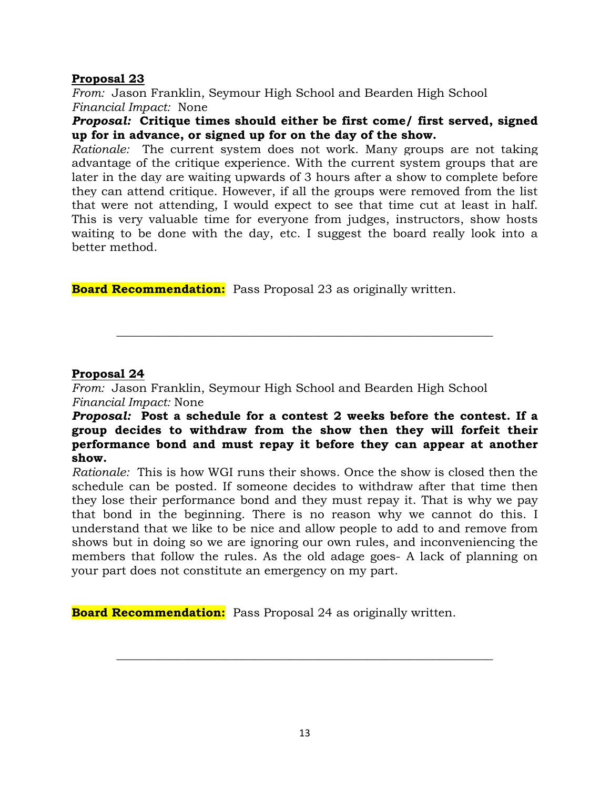#### **Proposal 23**

*From:* Jason Franklin, Seymour High School and Bearden High School *Financial Impact:* None

#### *Proposal:* **Critique times should either be first come/ first served, signed up for in advance, or signed up for on the day of the show.**

*Rationale:* The current system does not work. Many groups are not taking advantage of the critique experience. With the current system groups that are later in the day are waiting upwards of 3 hours after a show to complete before they can attend critique. However, if all the groups were removed from the list that were not attending, I would expect to see that time cut at least in half. This is very valuable time for everyone from judges, instructors, show hosts waiting to be done with the day, etc. I suggest the board really look into a better method.

**Board Recommendation:** Pass Proposal 23 as originally written.

#### **Proposal 24**

*From:* Jason Franklin, Seymour High School and Bearden High School *Financial Impact:* None

#### *Proposal:* **Post a schedule for a contest 2 weeks before the contest. If a group decides to withdraw from the show then they will forfeit their performance bond and must repay it before they can appear at another show.**

**\_\_\_\_\_\_\_\_\_\_\_\_\_\_\_\_\_\_\_\_\_\_\_\_\_\_\_\_\_\_\_\_\_\_\_\_\_\_\_\_\_\_\_\_\_\_\_\_\_\_\_\_\_\_\_\_\_\_\_\_\_\_\_**

*Rationale:* This is how WGI runs their shows. Once the show is closed then the schedule can be posted. If someone decides to withdraw after that time then they lose their performance bond and they must repay it. That is why we pay that bond in the beginning. There is no reason why we cannot do this. I understand that we like to be nice and allow people to add to and remove from shows but in doing so we are ignoring our own rules, and inconveniencing the members that follow the rules. As the old adage goes- A lack of planning on your part does not constitute an emergency on my part.

**Board Recommendation:** Pass Proposal 24 as originally written.

**\_\_\_\_\_\_\_\_\_\_\_\_\_\_\_\_\_\_\_\_\_\_\_\_\_\_\_\_\_\_\_\_\_\_\_\_\_\_\_\_\_\_\_\_\_\_\_\_\_\_\_\_\_\_\_\_\_\_\_\_\_\_\_**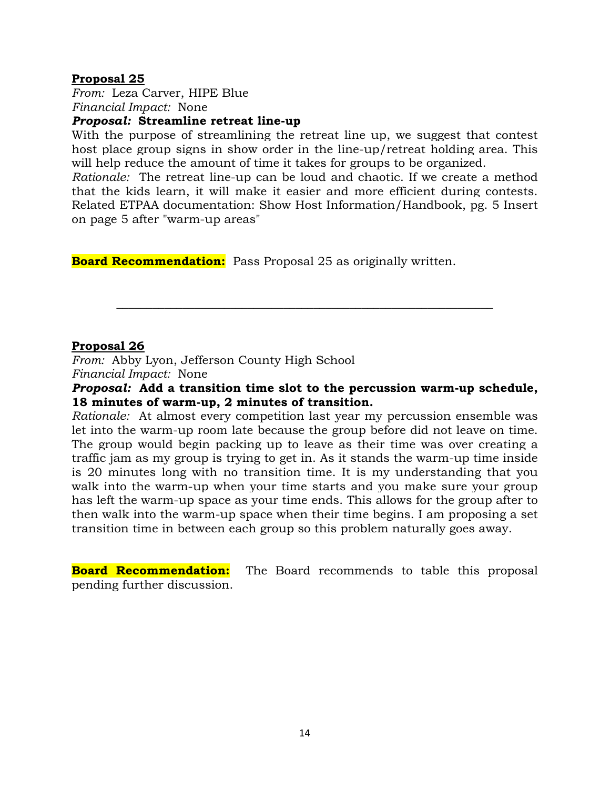#### **Proposal 25**

*From:* Leza Carver, HIPE Blue *Financial Impact:* None

#### *Proposal:* **Streamline retreat line-up**

With the purpose of streamlining the retreat line up, we suggest that contest host place group signs in show order in the line-up/retreat holding area. This will help reduce the amount of time it takes for groups to be organized.

*Rationale:* The retreat line-up can be loud and chaotic. If we create a method that the kids learn, it will make it easier and more efficient during contests. Related ETPAA documentation: Show Host Information/Handbook, pg. 5 Insert on page 5 after "warm-up areas"

**Board Recommendation:** Pass Proposal 25 as originally written.

#### **Proposal 26**

*From:* Abby Lyon, Jefferson County High School *Financial Impact:* None

#### *Proposal:* **Add a transition time slot to the percussion warm-up schedule, 18 minutes of warm-up, 2 minutes of transition.**

**\_\_\_\_\_\_\_\_\_\_\_\_\_\_\_\_\_\_\_\_\_\_\_\_\_\_\_\_\_\_\_\_\_\_\_\_\_\_\_\_\_\_\_\_\_\_\_\_\_\_\_\_\_\_\_\_\_\_\_\_\_\_\_**

*Rationale:* At almost every competition last year my percussion ensemble was let into the warm-up room late because the group before did not leave on time. The group would begin packing up to leave as their time was over creating a traffic jam as my group is trying to get in. As it stands the warm-up time inside is 20 minutes long with no transition time. It is my understanding that you walk into the warm-up when your time starts and you make sure your group has left the warm-up space as your time ends. This allows for the group after to then walk into the warm-up space when their time begins. I am proposing a set transition time in between each group so this problem naturally goes away.

**Board Recommendation:** The Board recommends to table this proposal pending further discussion.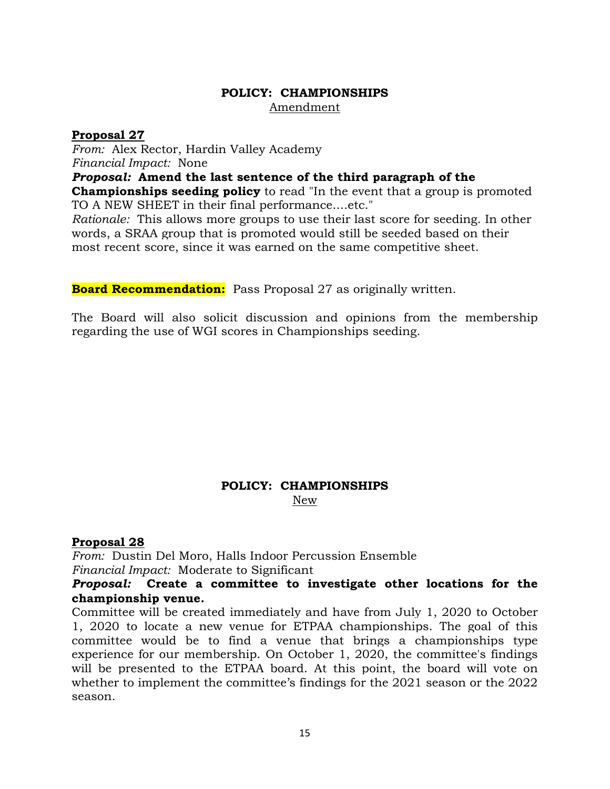#### **POLICY: CHAMPIONSHIPS** Amendment

#### **Proposal 27**

*From:* Alex Rector, Hardin Valley Academy *Financial Impact:* None

*Proposal:* **Amend the last sentence of the third paragraph of the** 

**Championships seeding policy** to read "In the event that a group is promoted TO A NEW SHEET in their final performance....etc."

*Rationale:* This allows more groups to use their last score for seeding. In other words, a SRAA group that is promoted would still be seeded based on their most recent score, since it was earned on the same competitive sheet.

**Board Recommendation:** Pass Proposal 27 as originally written.

The Board will also solicit discussion and opinions from the membership regarding the use of WGI scores in Championships seeding.

#### **POLICY: CHAMPIONSHIPS** New

### **Proposal 28**

*From:* Dustin Del Moro, Halls Indoor Percussion Ensemble *Financial Impact:* Moderate to Significant

#### *Proposal:* **Create a committee to investigate other locations for the championship venue.**

Committee will be created immediately and have from July 1, 2020 to October 1, 2020 to locate a new venue for ETPAA championships. The goal of this committee would be to find a venue that brings a championships type experience for our membership. On October 1, 2020, the committee's findings will be presented to the ETPAA board. At this point, the board will vote on whether to implement the committee's findings for the 2021 season or the 2022 season.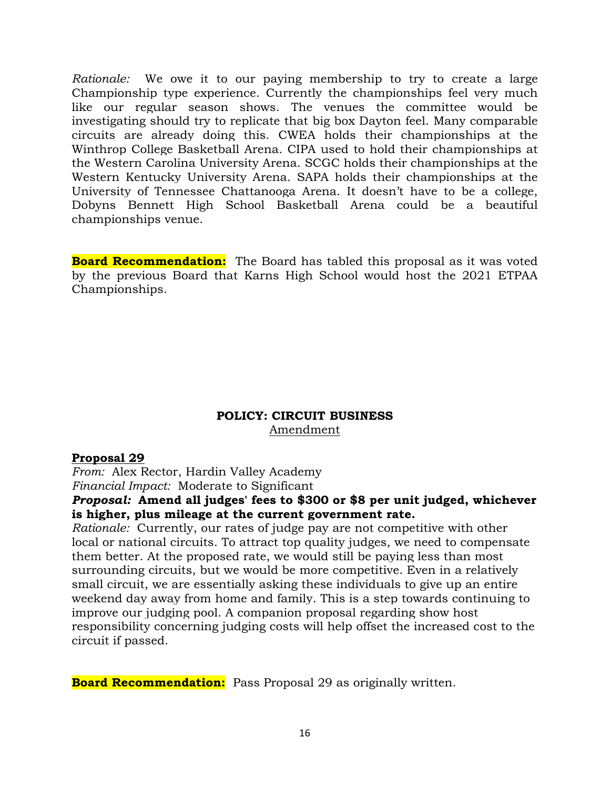*Rationale:* We owe it to our paying membership to try to create a large Championship type experience. Currently the championships feel very much like our regular season shows. The venues the committee would be investigating should try to replicate that big box Dayton feel. Many comparable circuits are already doing this. CWEA holds their championships at the Winthrop College Basketball Arena. CIPA used to hold their championships at the Western Carolina University Arena. SCGC holds their championships at the Western Kentucky University Arena. SAPA holds their championships at the University of Tennessee Chattanooga Arena. It doesn't have to be a college, Dobyns Bennett High School Basketball Arena could be a beautiful championships venue.

**Board Recommendation:** The Board has tabled this proposal as it was voted by the previous Board that Karns High School would host the 2021 ETPAA Championships.

#### **POLICY: CIRCUIT BUSINESS** Amendment

#### **Proposal 29**

*From:* Alex Rector, Hardin Valley Academy *Financial Impact:* Moderate to Significant

#### *Proposal:* **Amend all judges' fees to \$300 or \$8 per unit judged, whichever is higher, plus mileage at the current government rate.**

*Rationale:* Currently, our rates of judge pay are not competitive with other local or national circuits. To attract top quality judges, we need to compensate them better. At the proposed rate, we would still be paying less than most surrounding circuits, but we would be more competitive. Even in a relatively small circuit, we are essentially asking these individuals to give up an entire weekend day away from home and family. This is a step towards continuing to improve our judging pool. A companion proposal regarding show host responsibility concerning judging costs will help offset the increased cost to the circuit if passed.

**Board Recommendation:** Pass Proposal 29 as originally written.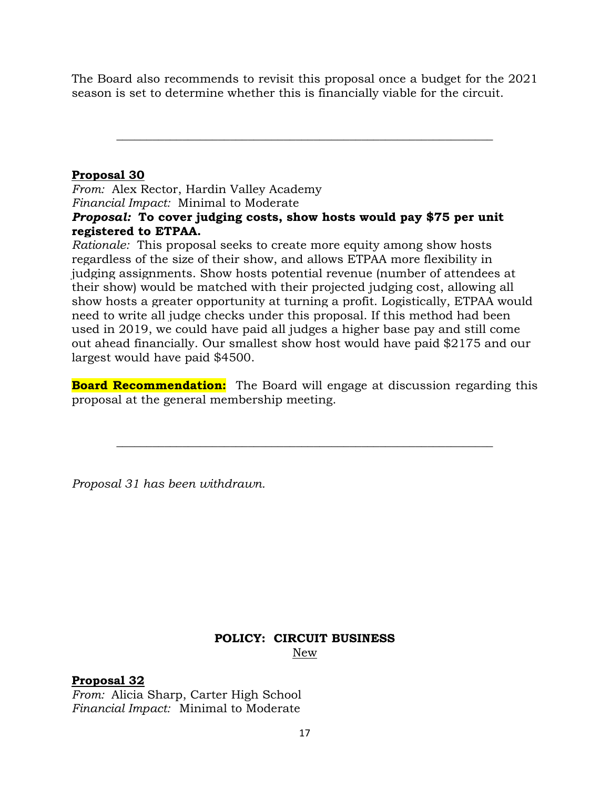The Board also recommends to revisit this proposal once a budget for the 2021 season is set to determine whether this is financially viable for the circuit.

**\_\_\_\_\_\_\_\_\_\_\_\_\_\_\_\_\_\_\_\_\_\_\_\_\_\_\_\_\_\_\_\_\_\_\_\_\_\_\_\_\_\_\_\_\_\_\_\_\_\_\_\_\_\_\_\_\_\_\_\_\_\_\_**

### **Proposal 30**

*From:* Alex Rector, Hardin Valley Academy *Financial Impact:* Minimal to Moderate

#### *Proposal:* **To cover judging costs, show hosts would pay \$75 per unit registered to ETPAA.**

*Rationale:* This proposal seeks to create more equity among show hosts regardless of the size of their show, and allows ETPAA more flexibility in judging assignments. Show hosts potential revenue (number of attendees at their show) would be matched with their projected judging cost, allowing all show hosts a greater opportunity at turning a profit. Logistically, ETPAA would need to write all judge checks under this proposal. If this method had been used in 2019, we could have paid all judges a higher base pay and still come out ahead financially. Our smallest show host would have paid \$2175 and our largest would have paid \$4500.

**Board Recommendation:** The Board will engage at discussion regarding this proposal at the general membership meeting.

**\_\_\_\_\_\_\_\_\_\_\_\_\_\_\_\_\_\_\_\_\_\_\_\_\_\_\_\_\_\_\_\_\_\_\_\_\_\_\_\_\_\_\_\_\_\_\_\_\_\_\_\_\_\_\_\_\_\_\_\_\_\_\_**

*Proposal 31 has been withdrawn.* 

## **POLICY: CIRCUIT BUSINESS**

New

### **Proposal 32**

*From:* Alicia Sharp, Carter High School *Financial Impact:* Minimal to Moderate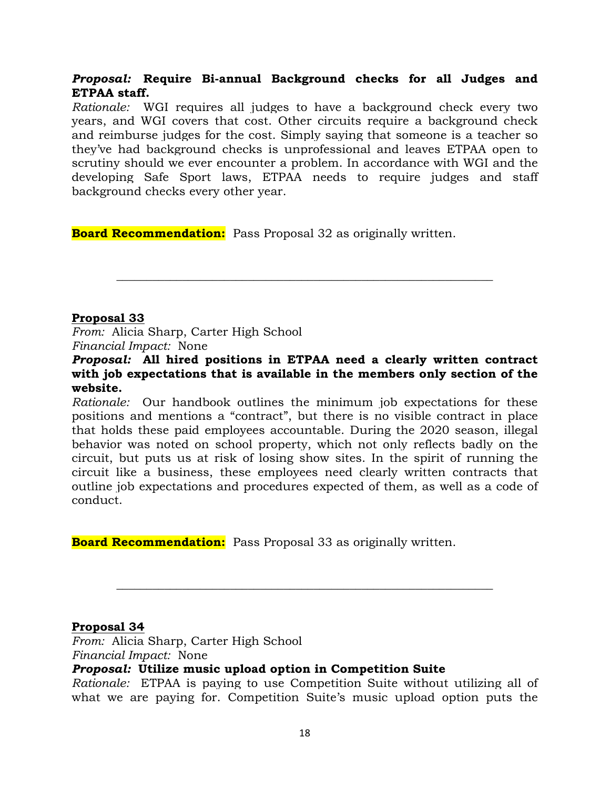#### *Proposal:* **Require Bi-annual Background checks for all Judges and ETPAA staff.**

*Rationale:* WGI requires all judges to have a background check every two years, and WGI covers that cost. Other circuits require a background check and reimburse judges for the cost. Simply saying that someone is a teacher so they've had background checks is unprofessional and leaves ETPAA open to scrutiny should we ever encounter a problem. In accordance with WGI and the developing Safe Sport laws, ETPAA needs to require judges and staff background checks every other year.

**Board Recommendation:** Pass Proposal 32 as originally written.

#### **Proposal 33**

*From:* Alicia Sharp, Carter High School *Financial Impact:* None

#### *Proposal:* **All hired positions in ETPAA need a clearly written contract with job expectations that is available in the members only section of the website.**

**\_\_\_\_\_\_\_\_\_\_\_\_\_\_\_\_\_\_\_\_\_\_\_\_\_\_\_\_\_\_\_\_\_\_\_\_\_\_\_\_\_\_\_\_\_\_\_\_\_\_\_\_\_\_\_\_\_\_\_\_\_\_\_**

*Rationale:* Our handbook outlines the minimum job expectations for these positions and mentions a "contract", but there is no visible contract in place that holds these paid employees accountable. During the 2020 season, illegal behavior was noted on school property, which not only reflects badly on the circuit, but puts us at risk of losing show sites. In the spirit of running the circuit like a business, these employees need clearly written contracts that outline job expectations and procedures expected of them, as well as a code of conduct.

**Board Recommendation:** Pass Proposal 33 as originally written.

#### **Proposal 34**

*From:* Alicia Sharp, Carter High School *Financial Impact:* None

#### *Proposal:* **Utilize music upload option in Competition Suite**

*Rationale:* ETPAA is paying to use Competition Suite without utilizing all of what we are paying for. Competition Suite's music upload option puts the

**\_\_\_\_\_\_\_\_\_\_\_\_\_\_\_\_\_\_\_\_\_\_\_\_\_\_\_\_\_\_\_\_\_\_\_\_\_\_\_\_\_\_\_\_\_\_\_\_\_\_\_\_\_\_\_\_\_\_\_\_\_\_\_**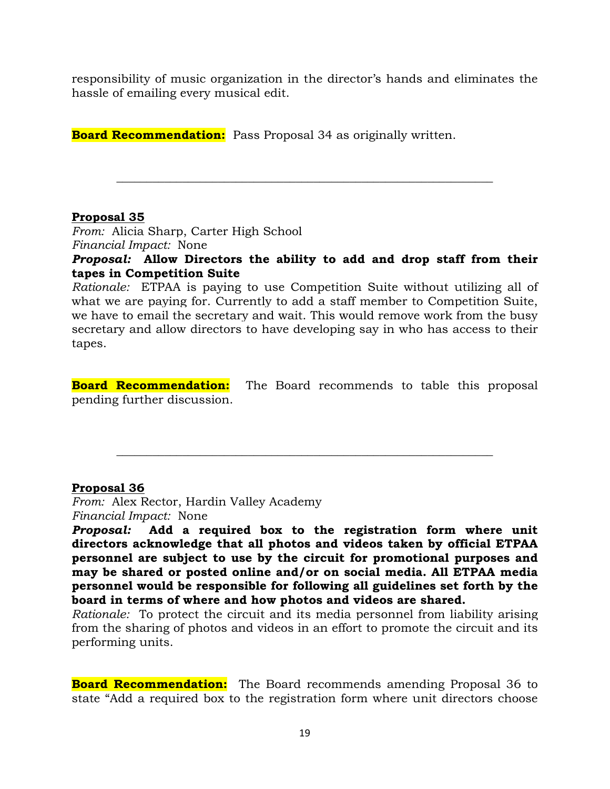responsibility of music organization in the director's hands and eliminates the hassle of emailing every musical edit.

**Board Recommendation:** Pass Proposal 34 as originally written.

#### **Proposal 35**

*From:* Alicia Sharp, Carter High School *Financial Impact:* None

*Proposal:* **Allow Directors the ability to add and drop staff from their tapes in Competition Suite**

**\_\_\_\_\_\_\_\_\_\_\_\_\_\_\_\_\_\_\_\_\_\_\_\_\_\_\_\_\_\_\_\_\_\_\_\_\_\_\_\_\_\_\_\_\_\_\_\_\_\_\_\_\_\_\_\_\_\_\_\_\_\_\_**

*Rationale:* ETPAA is paying to use Competition Suite without utilizing all of what we are paying for. Currently to add a staff member to Competition Suite, we have to email the secretary and wait. This would remove work from the busy secretary and allow directors to have developing say in who has access to their tapes.

**Board Recommendation:** The Board recommends to table this proposal pending further discussion.

**\_\_\_\_\_\_\_\_\_\_\_\_\_\_\_\_\_\_\_\_\_\_\_\_\_\_\_\_\_\_\_\_\_\_\_\_\_\_\_\_\_\_\_\_\_\_\_\_\_\_\_\_\_\_\_\_\_\_\_\_\_\_\_**

#### **Proposal 36**

*From:* Alex Rector, Hardin Valley Academy *Financial Impact:* None

*Proposal:* **Add a required box to the registration form where unit directors acknowledge that all photos and videos taken by official ETPAA personnel are subject to use by the circuit for promotional purposes and may be shared or posted online and/or on social media. All ETPAA media personnel would be responsible for following all guidelines set forth by the board in terms of where and how photos and videos are shared.**

*Rationale:* To protect the circuit and its media personnel from liability arising from the sharing of photos and videos in an effort to promote the circuit and its performing units.

**Board Recommendation:** The Board recommends amending Proposal 36 to state "Add a required box to the registration form where unit directors choose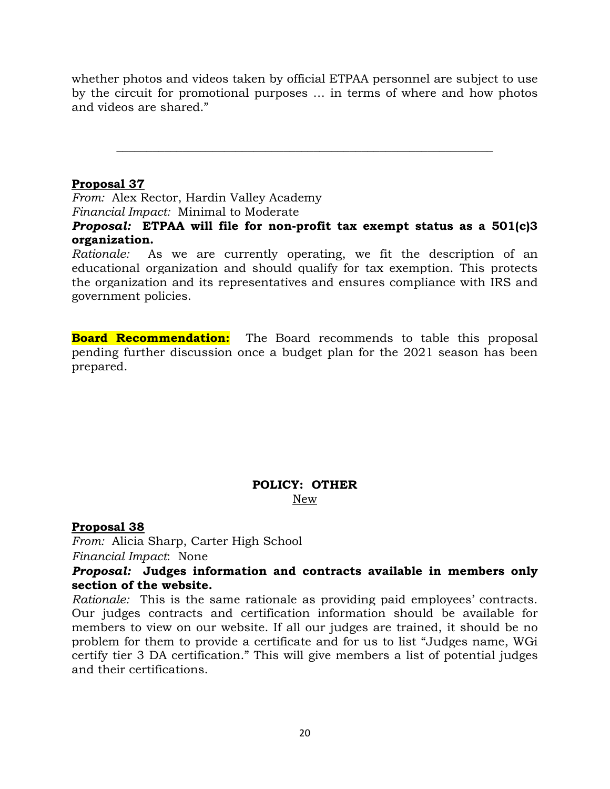whether photos and videos taken by official ETPAA personnel are subject to use by the circuit for promotional purposes … in terms of where and how photos and videos are shared."

**\_\_\_\_\_\_\_\_\_\_\_\_\_\_\_\_\_\_\_\_\_\_\_\_\_\_\_\_\_\_\_\_\_\_\_\_\_\_\_\_\_\_\_\_\_\_\_\_\_\_\_\_\_\_\_\_\_\_\_\_\_\_\_**

#### **Proposal 37**

*From:* Alex Rector, Hardin Valley Academy *Financial Impact:* Minimal to Moderate

*Proposal:* **ETPAA will file for non-profit tax exempt status as a 501(c)3 organization.**

*Rationale:* As we are currently operating, we fit the description of an educational organization and should qualify for tax exemption. This protects the organization and its representatives and ensures compliance with IRS and government policies.

**Board Recommendation:** The Board recommends to table this proposal pending further discussion once a budget plan for the 2021 season has been prepared.

#### **POLICY: OTHER** New

**Proposal 38** *From:* Alicia Sharp, Carter High School

*Financial Impact*: None

#### *Proposal:* **Judges information and contracts available in members only section of the website.**

*Rationale:* This is the same rationale as providing paid employees' contracts. Our judges contracts and certification information should be available for members to view on our website. If all our judges are trained, it should be no problem for them to provide a certificate and for us to list "Judges name, WGi certify tier 3 DA certification." This will give members a list of potential judges and their certifications.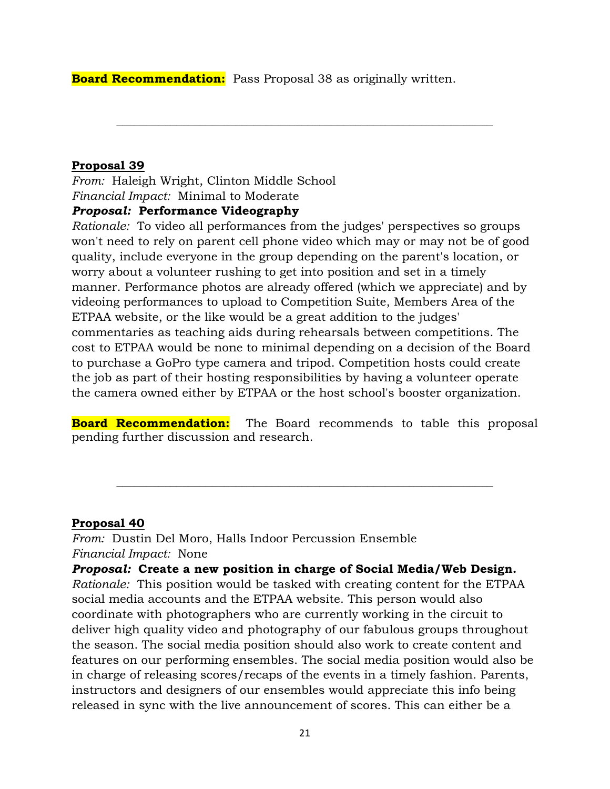**Board Recommendation:** Pass Proposal 38 as originally written.

#### **Proposal 39**

*From:* Haleigh Wright, Clinton Middle School *Financial Impact:* Minimal to Moderate

### *Proposal:* **Performance Videography**

*Rationale:* To video all performances from the judges' perspectives so groups won't need to rely on parent cell phone video which may or may not be of good quality, include everyone in the group depending on the parent's location, or worry about a volunteer rushing to get into position and set in a timely manner. Performance photos are already offered (which we appreciate) and by videoing performances to upload to Competition Suite, Members Area of the ETPAA website, or the like would be a great addition to the judges' commentaries as teaching aids during rehearsals between competitions. The cost to ETPAA would be none to minimal depending on a decision of the Board to purchase a GoPro type camera and tripod. Competition hosts could create the job as part of their hosting responsibilities by having a volunteer operate the camera owned either by ETPAA or the host school's booster organization.

**\_\_\_\_\_\_\_\_\_\_\_\_\_\_\_\_\_\_\_\_\_\_\_\_\_\_\_\_\_\_\_\_\_\_\_\_\_\_\_\_\_\_\_\_\_\_\_\_\_\_\_\_\_\_\_\_\_\_\_\_\_\_\_**

**Board Recommendation:** The Board recommends to table this proposal pending further discussion and research.

**\_\_\_\_\_\_\_\_\_\_\_\_\_\_\_\_\_\_\_\_\_\_\_\_\_\_\_\_\_\_\_\_\_\_\_\_\_\_\_\_\_\_\_\_\_\_\_\_\_\_\_\_\_\_\_\_\_\_\_\_\_\_\_**

#### **Proposal 40**

*From:* Dustin Del Moro, Halls Indoor Percussion Ensemble *Financial Impact:* None

*Proposal:* **Create a new position in charge of Social Media/Web Design.**

*Rationale:* This position would be tasked with creating content for the ETPAA social media accounts and the ETPAA website. This person would also coordinate with photographers who are currently working in the circuit to deliver high quality video and photography of our fabulous groups throughout the season. The social media position should also work to create content and features on our performing ensembles. The social media position would also be in charge of releasing scores/recaps of the events in a timely fashion. Parents, instructors and designers of our ensembles would appreciate this info being released in sync with the live announcement of scores. This can either be a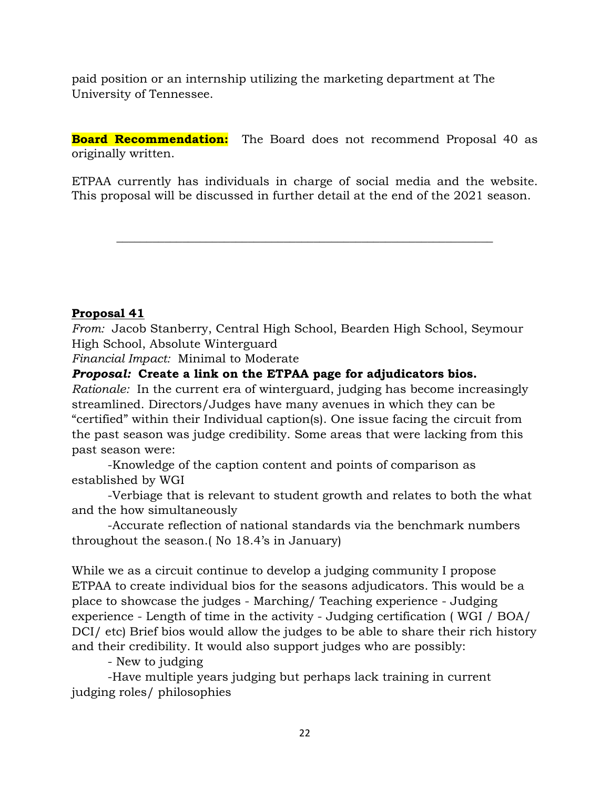paid position or an internship utilizing the marketing department at The University of Tennessee.

**Board Recommendation:** The Board does not recommend Proposal 40 as originally written.

ETPAA currently has individuals in charge of social media and the website. This proposal will be discussed in further detail at the end of the 2021 season.

**\_\_\_\_\_\_\_\_\_\_\_\_\_\_\_\_\_\_\_\_\_\_\_\_\_\_\_\_\_\_\_\_\_\_\_\_\_\_\_\_\_\_\_\_\_\_\_\_\_\_\_\_\_\_\_\_\_\_\_\_\_\_\_**

### **Proposal 41**

*From:* Jacob Stanberry, Central High School, Bearden High School, Seymour High School, Absolute Winterguard

*Financial Impact:* Minimal to Moderate

#### *Proposal:* **Create a link on the ETPAA page for adjudicators bios.**

*Rationale:* In the current era of winterguard, judging has become increasingly streamlined. Directors/Judges have many avenues in which they can be "certified" within their Individual caption(s). One issue facing the circuit from the past season was judge credibility. Some areas that were lacking from this past season were:

-Knowledge of the caption content and points of comparison as established by WGI

-Verbiage that is relevant to student growth and relates to both the what and the how simultaneously

-Accurate reflection of national standards via the benchmark numbers throughout the season.( No 18.4's in January)

While we as a circuit continue to develop a judging community I propose ETPAA to create individual bios for the seasons adjudicators. This would be a place to showcase the judges - Marching/ Teaching experience - Judging experience - Length of time in the activity - Judging certification ( WGI / BOA/ DCI/ etc) Brief bios would allow the judges to be able to share their rich history and their credibility. It would also support judges who are possibly:

- New to judging

-Have multiple years judging but perhaps lack training in current judging roles/ philosophies